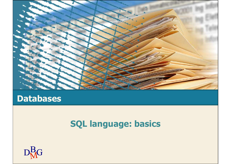

## Databases

# SQL language: basics

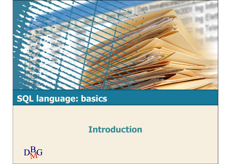

# SQL language: basics

#### Introduction

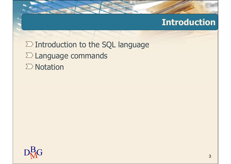## Introduction

 $\Sigma$  Introduction to the SQL language  $\Sigma$  Language commands  $\sum$  Notation

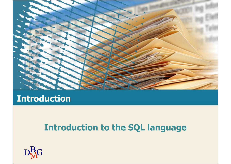

#### Introduction

## Introduction to the SQL language

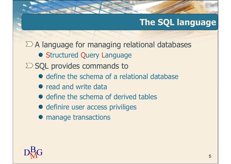$\Sigma$  A language for managing relational databases

**• Structured Query Language** 

 $\Sigma$  SQL provides commands to

- define the schema of a relational database
- read and write data
- define the schema of derived tables
- definire user access priviliges
- manage transactions

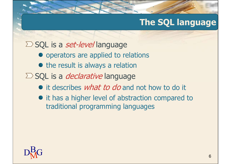#### $\Sigma$  SQL is a *set-level* language

- operators are applied to relations
- $\bullet$  the result is always a relation
- $\Sigma$  SQL is a *declarative* language
	- it describes *what to do* and not how to do it
	- $\bullet$  it has a higher level of abstraction compared to traditional programming languages

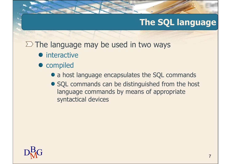$\Sigma$  The language may be used in two ways

- **•** interactive
- compiled
	- a host language encapsulates the SQL commands
	- SQL commands can be distinguished from the host language commands by means of appropriate syntactical devices

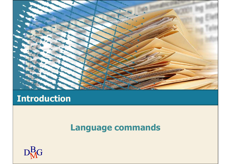

## Introduction

## Language commands

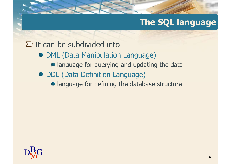#### $\Sigma$  It can be subdivided into

- **DML (Data Manipulation Language)** 
	- **.** language for querying and updating the data
- DDL (Data Definition Language)
	- **language for defining the database structure**

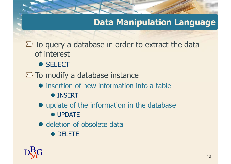## Data Manipulation Language

 $\Sigma$  To query a database in order to extract the data of interest

**• SELECT** 

 $\Sigma$  To modify a database instance

- insertion of new information into a table **• INSERT**
- update of the information in the database
	- **UPDATE**
- deletion of obsolete data
	- **DELETE**

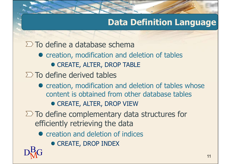## Data Definition Language

 $\Sigma$  To define a database schema

- creation, modification and deletion of tables • CREATE, ALTER, DROP TABLE
- $\Sigma$  To define derived tables
	- creation, modification and deletion of tables whose content is obtained from other database tables **• CREATE, ALTER, DROP VIEW**
- $\Sigma$  To define complementary data structures for efficiently retrieving the data
	- creation and deletion of indices
- $D<sub>M</sub><sup>B</sup>G$  11 **• CREATE, DROP INDEX**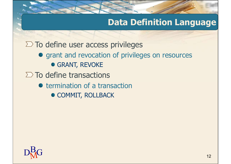## Data Definition Language

 $\Sigma$  To define user access privileges

- **•** grant and revocation of privileges on resources **• GRANT, REVOKE**
- $\Sigma$  To define transactions
	- $\bullet$  termination of a transaction
		- **COMMIT, ROLLBACK**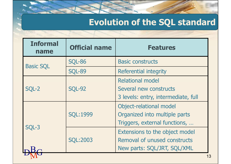# Evolution of the SQL standard

| <b>Evolution of the SQL standard</b> |                      |                                                                                               |  |  |  |  |  |
|--------------------------------------|----------------------|-----------------------------------------------------------------------------------------------|--|--|--|--|--|
| <b>Informal</b><br>name              | <b>Official name</b> | <b>Features</b>                                                                               |  |  |  |  |  |
| <b>Basic SQL</b>                     | <b>SQL-86</b>        | <b>Basic constructs</b>                                                                       |  |  |  |  |  |
|                                      | <b>SQL-89</b>        | Referential integrity                                                                         |  |  |  |  |  |
| SQL-2                                | <b>SQL-92</b>        | <b>Relational model</b><br>Several new constructs<br>3 levels: entry, intermediate, full      |  |  |  |  |  |
| SQL-3                                | <b>SQL:1999</b>      | Object-relational model<br>Organized into multiple parts<br>Triggers, external functions,     |  |  |  |  |  |
|                                      | <b>SQL:2003</b>      | Extensions to the object model<br>Removal of unused constructs<br>New parts: SQL/JRT, SQL/XML |  |  |  |  |  |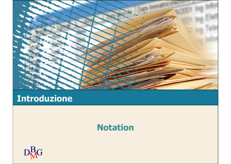

## Introduzione

#### Notation

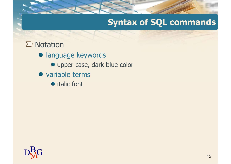# Syntax of SQL commands

#### $\sum$  Notation

- **· language keywords** 
	- upper case, dark blue color
- variable terms
	- italic font

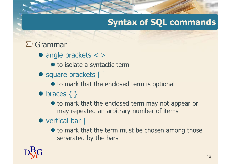# Syntax of SQL commands

#### $\sum$  Grammar

- angle brackets < >
	- $\bullet$  to isolate a syntactic term
- square brackets [ ]
	- $\bullet$  to mark that the enclosed term is optional
- $\bullet$  braces  $\{\}$ 
	- $\bullet$  to mark that the enclosed term may not appear or may repeated an arbitrary number of items

#### vertical bar |

 $\bullet$  to mark that the term must be chosen among those separated by the bars

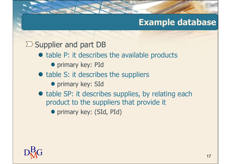## Example database

#### $\Sigma$  Supplier and part DB

- table P: it describes the available products
	- **•** primary key: PId
- table S: it describes the suppliers
	- **•** primary key: SId
- table SP: it describes supplies, by relating each product to the suppliers that provide it
	- **•** primary key: (SId, PId)

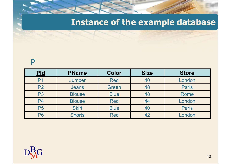# Instance of the example database

#### P

|                | <b>Instance of the example database</b> |             |             |              |  |  |  |  |  |
|----------------|-----------------------------------------|-------------|-------------|--------------|--|--|--|--|--|
|                |                                         |             |             |              |  |  |  |  |  |
| P              |                                         |             |             |              |  |  |  |  |  |
|                | <b>PName</b>                            | Color       | <b>Size</b> | <b>Store</b> |  |  |  |  |  |
| <b>Pld</b>     |                                         |             |             |              |  |  |  |  |  |
| P <sub>1</sub> | Jumper                                  | <b>Red</b>  | 40          | London       |  |  |  |  |  |
| P <sub>2</sub> | <b>Jeans</b>                            | Green       | 48          | <b>Paris</b> |  |  |  |  |  |
| P <sub>3</sub> | <b>Blouse</b>                           | <b>Blue</b> | 48          | Rome         |  |  |  |  |  |
| <b>P4</b>      | <b>Blouse</b>                           | <b>Red</b>  | 44          | London       |  |  |  |  |  |
| <b>P5</b>      | <b>Skirt</b>                            | <b>Blue</b> | 40          | <b>Paris</b> |  |  |  |  |  |

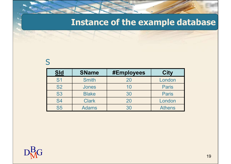## Instance of the example database

#### S<sub>core</sub> and the set of the set of the set of the set of the set of the set of the set of the set of the set of the set of the set of the set of the set of the set of the set of the set of the set of the set of the set of t

| <b>Instance of the example database</b>   |              |                         |                       |  |  |  |  |
|-------------------------------------------|--------------|-------------------------|-----------------------|--|--|--|--|
|                                           |              |                         |                       |  |  |  |  |
|                                           |              |                         |                       |  |  |  |  |
|                                           |              |                         |                       |  |  |  |  |
|                                           |              |                         |                       |  |  |  |  |
|                                           | <b>SName</b> |                         |                       |  |  |  |  |
|                                           | <b>Smith</b> | <b>#Employees</b><br>20 | <b>City</b><br>London |  |  |  |  |
| <b>Sld</b><br>S <sub>1</sub><br><b>S2</b> | <b>Jones</b> | 10                      | <b>Paris</b>          |  |  |  |  |
| <b>S3</b>                                 | <b>Blake</b> | 30                      | <b>Paris</b>          |  |  |  |  |
| <b>S4</b>                                 | <b>Clark</b> | 20                      | London                |  |  |  |  |